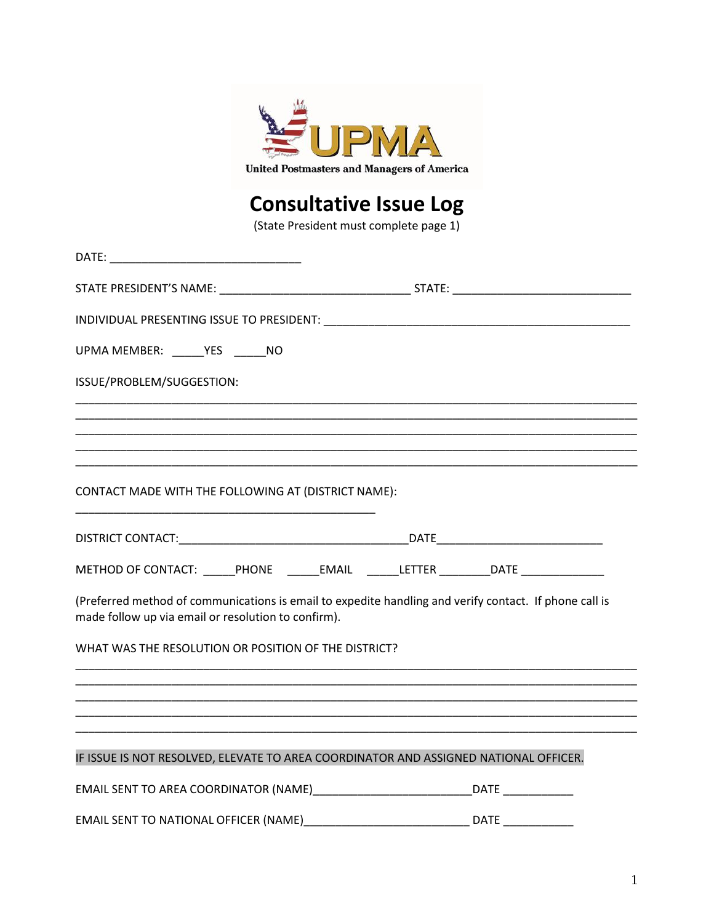

## **Consultative Issue Log**

(State President must complete page 1)

| UPMA MEMBER: _____ YES _____ NO                                                                                                                               |  |
|---------------------------------------------------------------------------------------------------------------------------------------------------------------|--|
| ISSUE/PROBLEM/SUGGESTION:                                                                                                                                     |  |
|                                                                                                                                                               |  |
|                                                                                                                                                               |  |
|                                                                                                                                                               |  |
| CONTACT MADE WITH THE FOLLOWING AT (DISTRICT NAME):                                                                                                           |  |
|                                                                                                                                                               |  |
| METHOD OF CONTACT: ______PHONE _______EMAIL ______LETTER _________DATE __________                                                                             |  |
| (Preferred method of communications is email to expedite handling and verify contact. If phone call is<br>made follow up via email or resolution to confirm). |  |
| WHAT WAS THE RESOLUTION OR POSITION OF THE DISTRICT?                                                                                                          |  |
|                                                                                                                                                               |  |
|                                                                                                                                                               |  |
| IF ISSUE IS NOT RESOLVED, ELEVATE TO AREA COORDINATOR AND ASSIGNED NATIONAL OFFICER.                                                                          |  |
| EMAIL SENT TO AREA COORDINATOR (NAME)___________________________________DATE _______________                                                                  |  |
| EMAIL SENT TO NATIONAL OFFICER (NAME)___________________________________DATE _______________________                                                          |  |